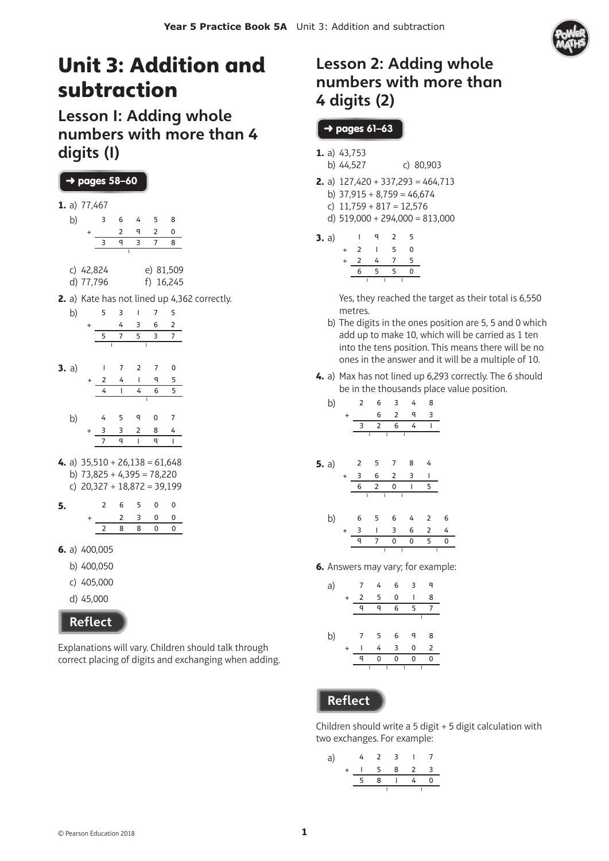

# Unit 3: Addition and subtraction

Lesson 1: Adding whole numbers with more than 4 digits (I)

### ➜ pages **58–60**

| 1. a) 77,467 |   |               |   |               |           |
|--------------|---|---------------|---|---------------|-----------|
| b)           | 3 | 6             | 4 | 5             | 8         |
| +            |   | $\mathcal{P}$ | q | $\mathcal{P}$ | 0         |
|              |   | q             | з |               | 8         |
|              |   |               |   |               |           |
| c) 42,824    |   |               |   |               | e) 81,509 |
| d) 77.796    |   |               |   |               | 16.245    |

 **2.** a) Kate has not lined up 4,362 correctly.

| -- |       | $a$ , nace thas froc integrals $a$ , $a$ , $a$ |   |   |   |   |   |  |
|----|-------|------------------------------------------------|---|---|---|---|---|--|
|    | b)    |                                                | 5 | 3 |   |   | 5 |  |
|    |       | $\ddot{}$                                      |   | 4 | 3 | 6 | 2 |  |
|    |       |                                                | 5 | 7 | 5 | 3 | 7 |  |
|    |       |                                                |   |   |   |   |   |  |
|    | 3. a) |                                                | ı | 7 | 2 |   | 0 |  |
|    |       | $\ddot{}$                                      | 2 | 4 | ı | q | 5 |  |
|    |       |                                                | 4 |   | 4 | 6 | 5 |  |
|    |       |                                                |   |   |   |   |   |  |
|    | b)    |                                                | 4 | 5 | q |   |   |  |

7 9 1 9 1 **4.** a)  $35.510 + 26.138 = 61.648$ b)  $73,825 + 4,395 = 78,220$ c)  $20,327 + 18,872 = 39,199$ 

+ 3 3 2 8 4

| 5. |  | 2 6 5 0 0   |  |
|----|--|-------------|--|
|    |  | $+$ 2 3 0 0 |  |
|    |  | 2 8 8 0 0   |  |
|    |  |             |  |

- **6.** a) 400,005
	- b) 400,050
	- c) 405,000
	- d) 45,000

### Reflect

Explanations will vary. Children should talk through correct placing of digits and exchanging when adding.

# Lesson 2: Adding whole numbers with more than 4 digits (2)

### ➜ pages **61–63**

- **1.** a) 43,753
	- b) 44,527 c) 80,903
- **2.** a) 127,420 + 337,293 = 464,713 b)  $37,915 + 8,759 = 46,674$ c)  $11,759 + 817 = 12,576$ 
	- d)  $519,000 + 294,000 = 813,000$

| 3. a) |           |               | q | 2 | 5 |  |
|-------|-----------|---------------|---|---|---|--|
|       | $\ddot{}$ | 2             |   | 5 | 0 |  |
|       |           | $\mathcal{L}$ | 4 |   | 5 |  |
|       |           | 6             | 5 | 5 | Ω |  |
|       |           |               |   |   |   |  |

Yes, they reached the target as their total is 6,550 metres.

- b) The digits in the ones position are 5, 5 and 0 which add up to make 10, which will be carried as 1 ten into the tens position. This means there will be no ones in the answer and it will be a multiple of 10.
- **4.** a) Max has not lined up 6,293 correctly. The 6 should be in the thousands place value position.

| b) |     | 6 | 3       | 4 | 8 |
|----|-----|---|---------|---|---|
|    |     |   | 6 2 9 3 |   |   |
|    | -3. |   | 26      | 4 |   |
|    |     |   |         |   |   |

**5.** a) 
$$
2 \quad 5 \quad 7 \quad 8 \quad 4
$$

$$
+ \frac{3}{6} \quad 6 \quad 2 \quad 3 \quad 1
$$

$$
+ \frac{6}{1} \quad 1 \quad 1
$$

|  |   |           | 6 | 4    | $\overline{z}$ |   |
|--|---|-----------|---|------|----------------|---|
|  |   | 3   3 6 2 |   |      |                |   |
|  | q |           |   | 7005 |                | O |
|  |   |           |   |      |                |   |

**6.** Answers may vary; for example:

| a) |           |   | 4 | 6 | 3        | q            |  |
|----|-----------|---|---|---|----------|--------------|--|
|    | $\ddot{}$ | 2 | 5 | 0 |          | 8            |  |
|    |           | q | q | 6 | 5        | 7            |  |
|    |           |   |   |   |          |              |  |
| b) |           |   | 5 | 6 | q        | 8            |  |
|    |           |   | 4 | 3 | 0        | 2            |  |
|    |           | q | ი | O | $\Omega$ | $\mathbf{0}$ |  |
|    |           | ı | I |   | Ī        |              |  |

# Reflect

Children should write a 5 digit + 5 digit calculation with two exchanges. For example:

|    | 5. |  | $8 \mid$ | 4.                  | 0 |
|----|----|--|----------|---------------------|---|
|    |    |  |          | $1 \t5 \t8 \t2 \t3$ |   |
| a) |    |  |          |                     |   |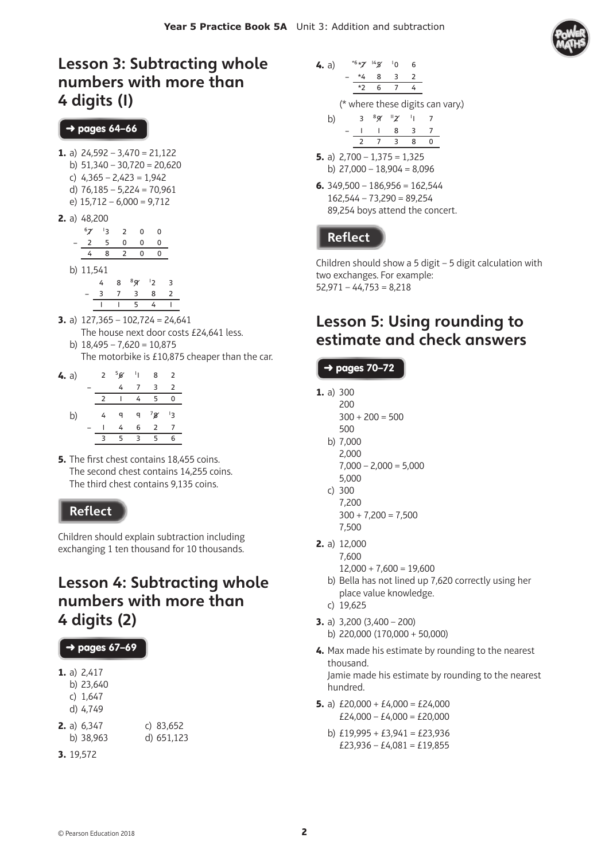

# Lesson 3: Subtracting whole numbers with more than 4 digits (1)

#### ➜ pages **64–66**

- **1.** a)  $24,592 3,470 = 21,122$ b)  $51,340 - 30,720 = 20,620$ c)  $4,365 - 2,423 = 1,942$ d)  $76,185 - 5,224 = 70,961$ e)  $15,712 - 6,000 = 9,712$
- **2.** a) 48,200

|                        | $67$ $13$ 2 0 |  | - 0 |
|------------------------|---------------|--|-----|
|                        | $-25000$      |  |     |
|                        | 4 8 2 0 0     |  |     |
| $\sqrt{44}$ $\sqrt{4}$ |               |  |     |

- b) 11,541
	- 4 8 <sup>8</sup> 9 2 3 − 3 7 3 8 2
	- 1 1 5 4 1
- **3.** a)  $127,365 102,724 = 24,641$ The house next door costs £24,641 less. b)  $18,495 - 7,620 = 10,875$ 
	- The motorbike is £10,875 cheaper than the car.

| 4. a) | 2 | 5β | 4 | 8   | 2  |  |
|-------|---|----|---|-----|----|--|
|       |   | 4  |   | З   | 2  |  |
|       |   |    | 4 | 5   | 0  |  |
| b)    | 4 | q  | q | 78' | ١z |  |
|       |   | 4  | 6 | 2   |    |  |
|       |   | 5  | ₹ | 5   | 6  |  |

**5.** The first chest contains 18,455 coins. The second chest contains 14,255 coins. The third chest contains 9,135 coins.

### **Reflect**

Children should explain subtraction including exchanging 1 ten thousand for 10 thousands.

# Lesson 4: Subtracting whole numbers with more than 4 digits (2)

#### ➜ pages **67–69**

- **1.** a) 2,417
- b) 23,640
- c) 1,647 d) 4,749
- **2.** a) 6,347 c) 83,652
- b) 38,963 d) 651,123
- **3.** 19,572

#### **4.** a)  $*6*7$   $45'$   $10$  6 − \*4 8 3 2  $*2 \t6 \t7 \t4$ (\* where these digits can vary.)  $8 \times 11 \times$

b) 
$$
\begin{array}{ccccccccc}\n3 & & 3 & & 12 & & 1 & & 7 \\
 & & - & 1 & 8 & 3 & 7 \\
\hline\n & 2 & 7 & 3 & 8 & 0\n\end{array}
$$

- **5.** a)  $2,700 1,375 = 1,325$ b)  $27,000 - 18,904 = 8,096$
- **6.** 349,500 186,956 = 162,544  $162,544 - 73,290 = 89,254$ 89,254 boys attend the concert.

### **Reflect**

Children should show a 5 digit – 5 digit calculation with two exchanges. For example:  $52,971 - 44,753 = 8,218$ 

# Lesson 5: Using rounding to estimate and check answers

#### ➜ pages **70–72**

- **1.** a) 300
	- 200  $300 + 200 = 500$
	- 500
	- b) 7,000 2,000  $7,000 - 2,000 = 5,000$ 5,000 c) 300
	- 7,200  $300 + 7,200 = 7,500$ 7,500
- **2.** a) 12,000
	- 7,600
	- $12,000 + 7,600 = 19,600$
	- b) Bella has not lined up 7,620 correctly using her place value knowledge.
	- c) 19,625
- **3.** a) 3,200 (3,400 200) b) 220,000 (170,000 + 50,000)
- **4.** Max made his estimate by rounding to the nearest thousand. Jamie made his estimate by rounding to the nearest hundred.
- **5.** a)  $£20,000 + £4,000 = £24,000$  $£24,000 - £4,000 = £20,000$ 
	- b)  $£19,995 + £3,941 = £23,936$  $£23,936 - £4,081 = £19,855$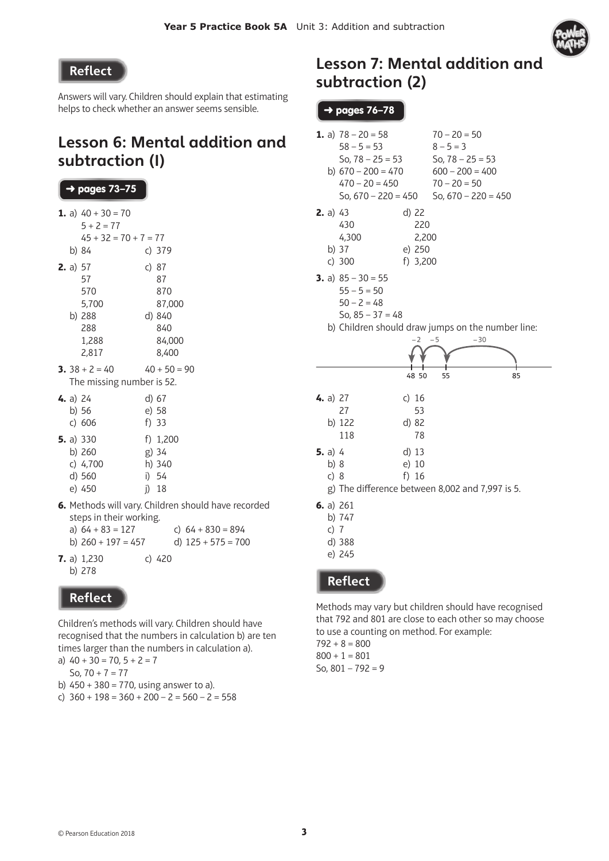

### Reflect

Answers will vary. Children should explain that estimating helps to check whether an answer seems sensible.

# Lesson 6: Mental addition and subtraction (1)

#### ➜ pages **73–75**

|  | <b>1.</b> a) $40 + 30 = 70$<br>$5 + 2 = 77$                                |                                                                  |
|--|----------------------------------------------------------------------------|------------------------------------------------------------------|
|  | $45 + 32 = 70 + 7 = 77$<br>b) 84                                           | c) 379                                                           |
|  | <b>2.</b> a) $57$<br>57<br>570<br>5,700<br>b) 288<br>288<br>1,288<br>2,817 | c) 87<br>87<br>870<br>87,000<br>d) 840<br>840<br>84,000<br>8,400 |
|  | 3. $38 + 2 = 40$<br>The missing number is 52.                              | $40 + 50 = 90$                                                   |
|  | 4. a) $24$<br>b) 56<br>c) $606$                                            | d) 67<br>e) 58<br>f) 33                                          |
|  | <b>5.</b> a) 330<br>b) 260<br>c) $4,700$<br>d) 560<br>e) 450               | f) 1,200<br>g) 34<br>h) 340<br>i) 54<br>j) $18$                  |
|  | A Mothode will van Childron cho                                            |                                                                  |

- **6.** Methods will vary. Children should have recorded steps in their working. a)  $64 + 83 = 127$  c)  $64 + 830 = 894$ 
	- b)  $260 + 197 = 457$  d)  $125 + 575 = 700$
- **7.** a) 1,230 c) 420 b) 278

### **Reflect**

Children's methods will vary. Children should have recognised that the numbers in calculation b) are ten times larger than the numbers in calculation a). a)  $40 + 30 = 70$ ,  $5 + 2 = 7$ 

So,  $70 + 7 = 77$ 

- b)  $450 + 380 = 770$ , using answer to a).
- c)  $360 + 198 = 360 + 200 2 = 560 2 = 558$

# Lesson 7: Mental addition and subtraction (2)

### ➜ pages **76–78**

|           | <b>1.</b> a) $78 - 20 = 58$<br>$58 - 5 = 53$<br>So, $78 - 25 = 53$<br>b) $670 - 200 = 470$<br>$470 - 20 = 450$ |                       | $70 - 20 = 50$<br>$8 - 5 = 3$<br>So, $78 - 25 = 53$<br>$600 - 200 = 400$<br>$70 - 20 = 50$<br>So, $670 - 220 = 450$ So, $670 - 220 = 450$ |    |
|-----------|----------------------------------------------------------------------------------------------------------------|-----------------------|-------------------------------------------------------------------------------------------------------------------------------------------|----|
|           | <b>2.</b> a) $43$<br>430<br>4,300                                                                              | d) 22<br>220<br>2,200 |                                                                                                                                           |    |
|           | b) 37<br>c) 300                                                                                                | e) 250<br>f) 3,200    |                                                                                                                                           |    |
|           | <b>3.</b> a) $85 - 30 = 55$<br>$55 - 5 = 50$<br>$50 - 2 = 48$<br>So, $85 - 37 = 48$                            |                       |                                                                                                                                           |    |
|           |                                                                                                                |                       | b) Children should draw jumps on the number line:                                                                                         |    |
|           |                                                                                                                | -2                    | $-5$<br>$-30$                                                                                                                             |    |
|           |                                                                                                                |                       |                                                                                                                                           |    |
|           |                                                                                                                | 48 50                 | 55                                                                                                                                        | 85 |
|           | 4. a) $27$                                                                                                     | c) $16$               |                                                                                                                                           |    |
|           | 27<br>b) 122                                                                                                   | 53<br>d) 82           |                                                                                                                                           |    |
|           | 118                                                                                                            | 78                    |                                                                                                                                           |    |
| 5. a) $4$ |                                                                                                                | $d)$ 13               |                                                                                                                                           |    |
| b)8       |                                                                                                                | e) 10                 |                                                                                                                                           |    |
| c) $8$    |                                                                                                                | f) $16$               |                                                                                                                                           |    |
|           |                                                                                                                |                       | g) The difference between 8,002 and 7,997 is 5.                                                                                           |    |
|           | 6. a) $261$<br>b) 747                                                                                          |                       |                                                                                                                                           |    |
| c) $7$    |                                                                                                                |                       |                                                                                                                                           |    |
|           | d) 388                                                                                                         |                       |                                                                                                                                           |    |
|           | e) 245                                                                                                         |                       |                                                                                                                                           |    |
|           |                                                                                                                |                       |                                                                                                                                           |    |

**Reflect** 

Methods may vary but children should have recognised that 792 and 801 are close to each other so may choose to use a counting on method. For example:  $792 + 8 = 800$  $800 + 1 = 801$ So,  $801 - 792 = 9$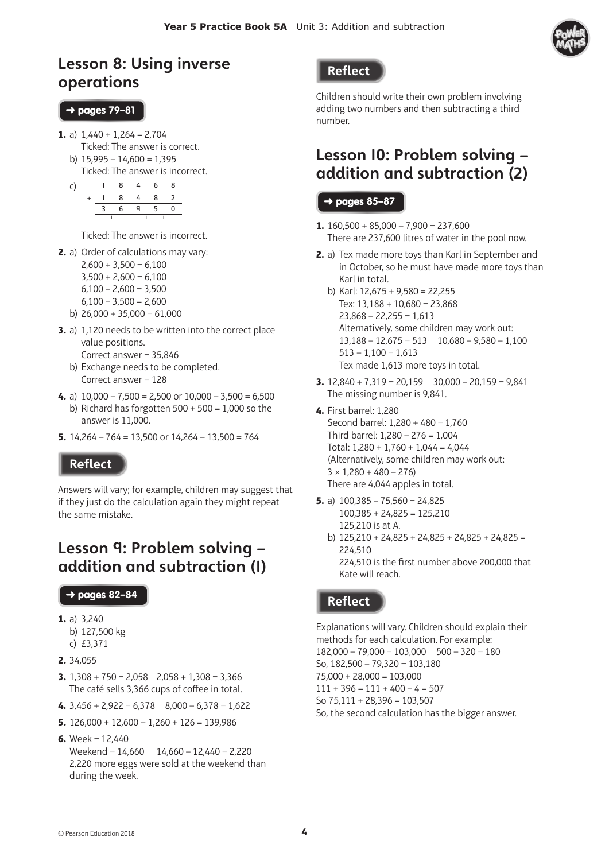

## Lesson 8: Using inverse operations

#### ➜ pages **79–81**

- **1.** a)  $1,440 + 1,264 = 2,704$ 
	- Ticked: The answer is correct.
	- b)  $15,995 14,600 = 1,395$ Ticked: The answer is incorrect.

|    |              | 6                                      | 95 |   | n   |  |
|----|--------------|----------------------------------------|----|---|-----|--|
|    |              | $\begin{array}{ccc} & & 8 \end{array}$ | 4  |   | 8 2 |  |
| C) | $\mathbf{I}$ | 8                                      | 4  | 6 | 8   |  |
|    |              |                                        |    |   |     |  |

Ticked: The answer is incorrect.

- **2.** a) Order of calculations may vary:
	- $2,600 + 3,500 = 6,100$  $3,500 + 2,600 = 6,100$  $6,100 - 2,600 = 3,500$  $6,100 - 3,500 = 2,600$
	- b)  $26,000 + 35,000 = 61,000$
- **3.** a) 1,120 needs to be written into the correct place value positions. Correct answer = 35,846
	- b) Exchange needs to be completed. Correct answer = 128
- **4.** a)  $10,000 7,500 = 2,500$  or  $10,000 3,500 = 6,500$ b) Richard has forgotten  $500 + 500 = 1,000$  so the answer is 11,000.
- **5.** 14,264 764 = 13,500 or 14,264 13,500 = 764

### **Reflect**

Answers will vary; for example, children may suggest that if they just do the calculation again they might repeat the same mistake.

# Lesson 9: Problem solving – addition and subtraction (1)

#### ➜ pages **82–84**

- **1.** a) 3,240
	- b) 127,500 kg
	- c) £3,371
- **2.** 34,055
- **3.**  $1,308 + 750 = 2,058$   $2,058 + 1,308 = 3,366$ The café sells 3,366 cups of coffee in total.
- **4.**  $3,456 + 2,922 = 6,378$   $8,000 6,378 = 1,622$
- **5.** 126,000 + 12,600 + 1,260 + 126 = 139,986
- **6.** Week = 12,440 Weekend =  $14,660$  14,660 – 12,440 = 2,220 2,220 more eggs were sold at the weekend than during the week.

### **Reflect**

Children should write their own problem involving adding two numbers and then subtracting a third number.

# Lesson 10: Problem solving – addition and subtraction (2)

### ➜ pages **85–87**

- **1.** 160,500 + 85,000 7,900 = 237,600 There are 237,600 litres of water in the pool now.
- **2.** a) Tex made more toys than Karl in September and in October, so he must have made more toys than Karl in total.
	- b) Karl: 12,675 + 9,580 = 22,255 Tex:  $13,188 + 10,680 = 23,868$  $23,868 - 22,255 = 1,613$ Alternatively, some children may work out:  $13,188 - 12,675 = 513$   $10,680 - 9,580 - 1,100$  $513 + 1,100 = 1,613$ Tex made 1,613 more toys in total.
- **3.** 12,840 + 7,319 = 20,159 30,000 20,159 = 9,841 The missing number is 9,841.
- **4.** First barrel: 1,280 Second barrel: 1,280 + 480 = 1,760 Third barrel: 1,280 – 276 = 1,004 Total:  $1,280 + 1,760 + 1,044 = 4,044$ (Alternatively, some children may work out:  $3 \times 1,280 + 480 - 276$ There are 4,044 apples in total.
- **5.** a) 100,385 75,560 = 24,825  $100,385 + 24,825 = 125,210$ 125,210 is at A.
	- b)  $125,210 + 24,825 + 24,825 + 24,825 + 24,825 =$ 224,510 224,510 is the first number above 200,000 that Kate will reach.

### **Reflect**

Explanations will vary. Children should explain their methods for each calculation. For example:  $182,000 - 79,000 = 103,000$   $500 - 320 = 180$ So, 182,500 – 79,320 = 103,180 75,000 + 28,000 = 103,000  $111 + 396 = 111 + 400 - 4 = 507$ So 75,111 + 28,396 = 103,507 So, the second calculation has the bigger answer.